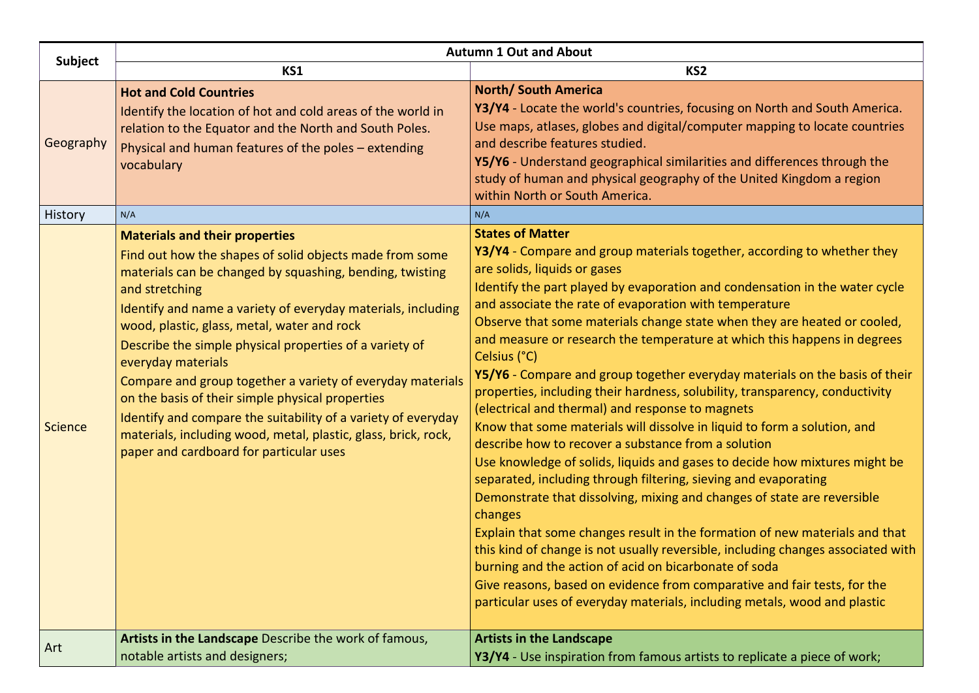|                | <b>Autumn 1 Out and About</b>                                                                                                                                                                                                                                                                                                                                                                                                                                                                                                                                                                                                                                                  |                                                                                                                                                                                                                                                                                                                                                                                                                                                                                                                                                                                                                                                                                                                                                                                                                                                                                                                                                                                                                                                                                                                                                                                                                                                                                                                                                                                                            |  |
|----------------|--------------------------------------------------------------------------------------------------------------------------------------------------------------------------------------------------------------------------------------------------------------------------------------------------------------------------------------------------------------------------------------------------------------------------------------------------------------------------------------------------------------------------------------------------------------------------------------------------------------------------------------------------------------------------------|------------------------------------------------------------------------------------------------------------------------------------------------------------------------------------------------------------------------------------------------------------------------------------------------------------------------------------------------------------------------------------------------------------------------------------------------------------------------------------------------------------------------------------------------------------------------------------------------------------------------------------------------------------------------------------------------------------------------------------------------------------------------------------------------------------------------------------------------------------------------------------------------------------------------------------------------------------------------------------------------------------------------------------------------------------------------------------------------------------------------------------------------------------------------------------------------------------------------------------------------------------------------------------------------------------------------------------------------------------------------------------------------------------|--|
| <b>Subject</b> | KS1                                                                                                                                                                                                                                                                                                                                                                                                                                                                                                                                                                                                                                                                            | KS <sub>2</sub>                                                                                                                                                                                                                                                                                                                                                                                                                                                                                                                                                                                                                                                                                                                                                                                                                                                                                                                                                                                                                                                                                                                                                                                                                                                                                                                                                                                            |  |
| Geography      | <b>Hot and Cold Countries</b><br>Identify the location of hot and cold areas of the world in<br>relation to the Equator and the North and South Poles.<br>Physical and human features of the poles - extending<br>vocabulary<br>N/A                                                                                                                                                                                                                                                                                                                                                                                                                                            | <b>North/ South America</b><br>Y3/Y4 - Locate the world's countries, focusing on North and South America.<br>Use maps, atlases, globes and digital/computer mapping to locate countries<br>and describe features studied.<br>Y5/Y6 - Understand geographical similarities and differences through the<br>study of human and physical geography of the United Kingdom a region<br>within North or South America.<br>N/A                                                                                                                                                                                                                                                                                                                                                                                                                                                                                                                                                                                                                                                                                                                                                                                                                                                                                                                                                                                     |  |
| History        |                                                                                                                                                                                                                                                                                                                                                                                                                                                                                                                                                                                                                                                                                | <b>States of Matter</b>                                                                                                                                                                                                                                                                                                                                                                                                                                                                                                                                                                                                                                                                                                                                                                                                                                                                                                                                                                                                                                                                                                                                                                                                                                                                                                                                                                                    |  |
| Science        | <b>Materials and their properties</b><br>Find out how the shapes of solid objects made from some<br>materials can be changed by squashing, bending, twisting<br>and stretching<br>Identify and name a variety of everyday materials, including<br>wood, plastic, glass, metal, water and rock<br>Describe the simple physical properties of a variety of<br>everyday materials<br>Compare and group together a variety of everyday materials<br>on the basis of their simple physical properties<br>Identify and compare the suitability of a variety of everyday<br>materials, including wood, metal, plastic, glass, brick, rock,<br>paper and cardboard for particular uses | Y3/Y4 - Compare and group materials together, according to whether they<br>are solids, liquids or gases<br>Identify the part played by evaporation and condensation in the water cycle<br>and associate the rate of evaporation with temperature<br>Observe that some materials change state when they are heated or cooled,<br>and measure or research the temperature at which this happens in degrees<br>Celsius (°C)<br>Y5/Y6 - Compare and group together everyday materials on the basis of their<br>properties, including their hardness, solubility, transparency, conductivity<br>(electrical and thermal) and response to magnets<br>Know that some materials will dissolve in liquid to form a solution, and<br>describe how to recover a substance from a solution<br>Use knowledge of solids, liquids and gases to decide how mixtures might be<br>separated, including through filtering, sieving and evaporating<br>Demonstrate that dissolving, mixing and changes of state are reversible<br>changes<br>Explain that some changes result in the formation of new materials and that<br>this kind of change is not usually reversible, including changes associated with<br>burning and the action of acid on bicarbonate of soda<br>Give reasons, based on evidence from comparative and fair tests, for the<br>particular uses of everyday materials, including metals, wood and plastic |  |
| Art            | Artists in the Landscape Describe the work of famous,<br>notable artists and designers;                                                                                                                                                                                                                                                                                                                                                                                                                                                                                                                                                                                        | <b>Artists in the Landscape</b><br>Y3/Y4 - Use inspiration from famous artists to replicate a piece of work;                                                                                                                                                                                                                                                                                                                                                                                                                                                                                                                                                                                                                                                                                                                                                                                                                                                                                                                                                                                                                                                                                                                                                                                                                                                                                               |  |